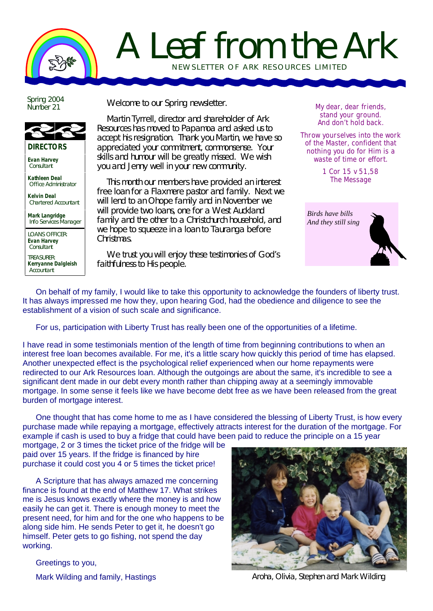

## A Leaf from the Ark NEWSLETTER OF ARK RE SOURCES LIMITED

Spring 2004 Number 21



**Evan Harvey Consultant** 

**Kathleen Deal** Office Administrator

**Kelvin Deal** Chartered Accountant

**Mark Langridge** Info Services Manager

LOANS OFFICER: **Evan Harvey Consultant** 

TREASURER: **Kerryanne Dalgleish Accountant** 

Welcome to our Spring newsletter.

Martin Tyrrell, director and shareholder of Ark Resources has moved to Papamoa and asked us to accept his resignation. Thank you Martin, we have so appreciated your commitment, commonsense. Your skills and humour will be greatly missed. We wish you and Jenny well in your new community.

This month our members have provided an interest free loan for a Flaxmere pastor and family. Next we will lend to an Ohope family and in November we will provide two loans, one for a West Auckland family and the other to a Christchurch household, and we hope to squeeze in a loan to Tauranga before Christmas.

We trust you will enjoy these testimonies of God's faithfulness to His people.

**My dear, dear friends, stand your ground. And don't hold back.** 

**Throw yourselves into the work of the Master, confident that nothing you do for Him is a waste of time or effort.**

> **1 Cor 15 v 51,58 The Message**



On behalf of my family, I would like to take this opportunity to acknowledge the founders of liberty trust. It has always impressed me how they, upon hearing God, had the obedience and diligence to see the establishment of a vision of such scale and significance.

For us, participation with Liberty Trust has really been one of the opportunities of a lifetime.

I have read in some testimonials mention of the length of time from beginning contributions to when an interest free loan becomes available. For me, it's a little scary how quickly this period of time has elapsed. Another unexpected effect is the psychological relief experienced when our home repayments were redirected to our Ark Resources loan. Although the outgoings are about the same, it's incredible to see a significant dent made in our debt every month rather than chipping away at a seemingly immovable mortgage. In some sense it feels like we have become debt free as we have been released from the great burden of mortgage interest.

One thought that has come home to me as I have considered the blessing of Liberty Trust, is how every purchase made while repaying a mortgage, effectively attracts interest for the duration of the mortgage. For example if cash is used to buy a fridge that could have been paid to reduce the principle on a 15 year

mortgage, 2 or 3 times the ticket price of the fridge will be paid over 15 years. If the fridge is financed by hire purchase it could cost you 4 or 5 times the ticket price!

A Scripture that has always amazed me concerning finance is found at the end of Matthew 17. What strikes me is Jesus knows exactly where the money is and how easily he can get it. There is enough money to meet the present need, for him and for the one who happens to be along side him. He sends Peter to get it, he doesn't go himself. Peter gets to go fishing, not spend the day working.



Greetings to you,

Mark Wilding and family, Hastings

Aroha, Olivia, Stephen and Mark Wilding